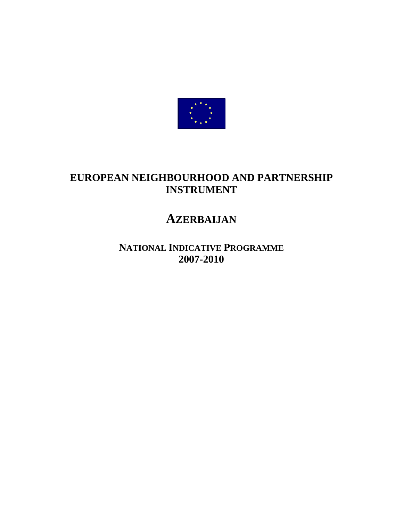

# **EUROPEAN NEIGHBOURHOOD AND PARTNERSHIP INSTRUMENT**

# **AZERBAIJAN**

**NATIONAL INDICATIVE PROGRAMME 2007-2010**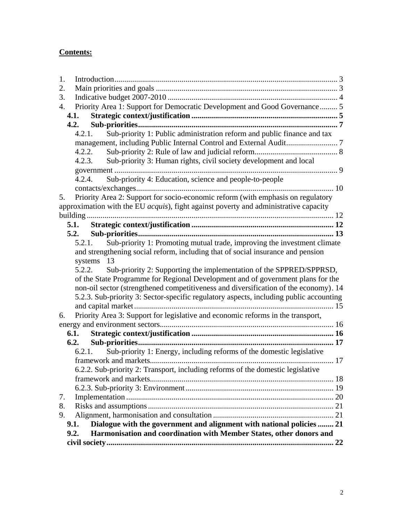# **Contents:**

| 1. |                                                                                        |  |
|----|----------------------------------------------------------------------------------------|--|
| 2. |                                                                                        |  |
| 3. |                                                                                        |  |
| 4. | Priority Area 1: Support for Democratic Development and Good Governance 5              |  |
|    | 4.1.                                                                                   |  |
|    | 4.2.                                                                                   |  |
|    | Sub-priority 1: Public administration reform and public finance and tax<br>4.2.1.      |  |
|    |                                                                                        |  |
|    | 4.2.2.                                                                                 |  |
|    | Sub-priority 3: Human rights, civil society development and local<br>4.2.3.            |  |
|    |                                                                                        |  |
|    | Sub-priority 4: Education, science and people-to-people<br>4.2.4.                      |  |
|    |                                                                                        |  |
| 5. | Priority Area 2: Support for socio-economic reform (with emphasis on regulatory        |  |
|    | approximation with the EU acquis), fight against poverty and administrative capacity   |  |
|    |                                                                                        |  |
|    |                                                                                        |  |
|    | 5.2.                                                                                   |  |
|    | Sub-priority 1: Promoting mutual trade, improving the investment climate<br>5.2.1.     |  |
|    | and strengthening social reform, including that of social insurance and pension        |  |
|    | systems 13                                                                             |  |
|    | Sub-priority 2: Supporting the implementation of the SPPRED/SPPRSD,<br>5.2.2.          |  |
|    | of the State Programme for Regional Development and of government plans for the        |  |
|    | non-oil sector (strengthened competitiveness and diversification of the economy). 14   |  |
|    | 5.2.3. Sub-priority 3: Sector-specific regulatory aspects, including public accounting |  |
|    |                                                                                        |  |
| 6. | Priority Area 3: Support for legislative and economic reforms in the transport,        |  |
|    |                                                                                        |  |
|    |                                                                                        |  |
|    | Sub-priority 1: Energy, including reforms of the domestic legislative<br>6.2.1.        |  |
|    |                                                                                        |  |
|    | 6.2.2. Sub-priority 2: Transport, including reforms of the domestic legislative        |  |
|    |                                                                                        |  |
|    |                                                                                        |  |
| 7. |                                                                                        |  |
| 8. |                                                                                        |  |
| 9. |                                                                                        |  |
|    | Dialogue with the government and alignment with national policies  21<br>9.1.          |  |
|    | Harmonisation and coordination with Member States, other donors and<br>9.2.            |  |
|    |                                                                                        |  |
|    |                                                                                        |  |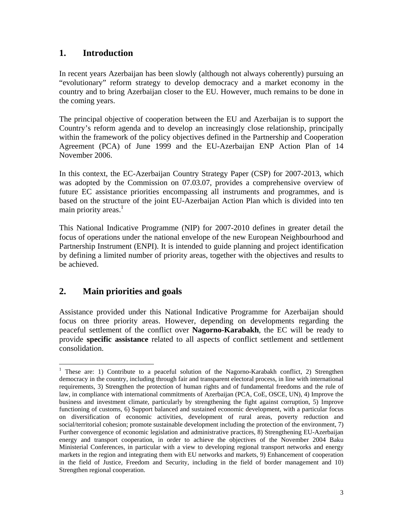# <span id="page-2-0"></span>**1. Introduction**

In recent years Azerbaijan has been slowly (although not always coherently) pursuing an "evolutionary" reform strategy to develop democracy and a market economy in the country and to bring Azerbaijan closer to the EU. However, much remains to be done in the coming years.

The principal objective of cooperation between the EU and Azerbaijan is to support the Country's reform agenda and to develop an increasingly close relationship, principally within the framework of the policy objectives defined in the Partnership and Cooperation Agreement (PCA) of June 1999 and the EU-Azerbaijan ENP Action Plan of 14 November 2006.

In this context, the EC-Azerbaijan Country Strategy Paper (CSP) for 2007-2013, which was adopted by the Commission on 07.03.07, provides a comprehensive overview of future EC assistance priorities encompassing all instruments and programmes, and is based on the structure of the joint EU-Azerbaijan Action Plan which is divided into ten main priority areas.<sup>1</sup>

This National Indicative Programme (NIP) for 2007-2010 defines in greater detail the focus of operations under the national envelope of the new European Neighbourhood and Partnership Instrument (ENPI). It is intended to guide planning and project identification by defining a limited number of priority areas, together with the objectives and results to be achieved.

# <span id="page-2-1"></span>**2. Main priorities and goals**

 $\overline{a}$ 

Assistance provided under this National Indicative Programme for Azerbaijan should focus on three priority areas. However, depending on developments regarding the peaceful settlement of the conflict over **Nagorno-Karabakh**, the EC will be ready to provide **specific assistance** related to all aspects of conflict settlement and settlement consolidation.

<sup>&</sup>lt;sup>1</sup> These are: 1) Contribute to a peaceful solution of the Nagorno-Karabakh conflict, 2) Strengthen democracy in the country, including through fair and transparent electoral process, in line with international requirements, 3) Strengthen the protection of human rights and of fundamental freedoms and the rule of law, in compliance with international commitments of Azerbaijan (PCA, CoE, OSCE, UN), 4) Improve the business and investment climate, particularly by strengthening the fight against corruption, 5) Improve functioning of customs, 6) Support balanced and sustained economic development, with a particular focus on diversification of economic activities, development of rural areas, poverty reduction and social/territorial cohesion; promote sustainable development including the protection of the environment, 7) Further convergence of economic legislation and administrative practices, 8) Strengthening EU-Azerbaijan energy and transport cooperation, in order to achieve the objectives of the November 2004 Baku Ministerial Conferences, in particular with a view to developing regional transport networks and energy markets in the region and integrating them with EU networks and markets, 9) Enhancement of cooperation in the field of Justice, Freedom and Security, including in the field of border management and 10) Strengthen regional cooperation.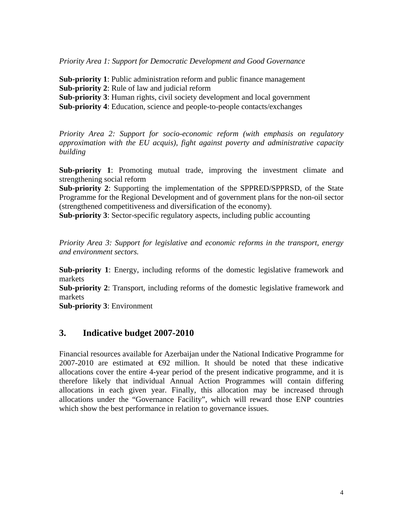*Priority Area 1: Support for Democratic Development and Good Governance* 

**Sub-priority 1**: Public administration reform and public finance management **Sub-priority 2**: Rule of law and judicial reform

**Sub-priority 3**: Human rights, civil society development and local government

**Sub-priority 4**: Education, science and people-to-people contacts/exchanges

*Priority Area 2: Support for socio-economic reform (with emphasis on regulatory approximation with the EU acquis), fight against poverty and administrative capacity building* 

**Sub-priority 1**: Promoting mutual trade, improving the investment climate and strengthening social reform

**Sub-priority 2**: Supporting the implementation of the SPPRED/SPPRSD, of the State Programme for the Regional Development and of government plans for the non-oil sector (strengthened competitiveness and diversification of the economy).

**Sub-priority 3**: Sector-specific regulatory aspects, including public accounting

*Priority Area 3: Support for legislative and economic reforms in the transport, energy and environment sectors.* 

**Sub-priority 1**: Energy, including reforms of the domestic legislative framework and markets

**Sub-priority 2**: Transport, including reforms of the domestic legislative framework and markets

**Sub-priority 3**: Environment

# <span id="page-3-0"></span>**3. Indicative budget 2007-2010**

Financial resources available for Azerbaijan under the National Indicative Programme for 2007-2010 are estimated at  $\bigoplus$ 2 million. It should be noted that these indicative allocations cover the entire 4-year period of the present indicative programme, and it is therefore likely that individual Annual Action Programmes will contain differing allocations in each given year. Finally, this allocation may be increased through allocations under the "Governance Facility", which will reward those ENP countries which show the best performance in relation to governance issues.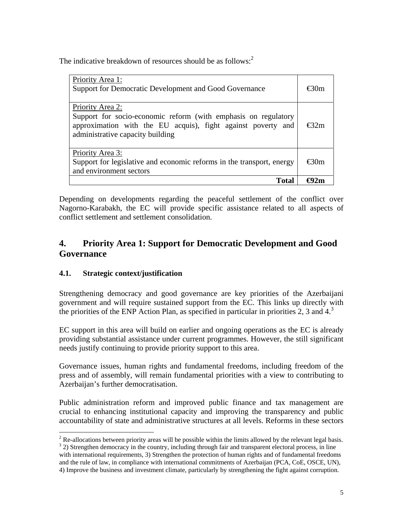The indicative breakdown of resources should be as follows: $2$ 

| Total                                                                                                                                                                                  |      |
|----------------------------------------------------------------------------------------------------------------------------------------------------------------------------------------|------|
| Priority Area 3:<br>Support for legislative and economic reforms in the transport, energy<br>and environment sectors                                                                   |      |
| Priority Area 2:<br>Support for socio-economic reform (with emphasis on regulatory<br>approximation with the EU acquis), fight against poverty and<br>administrative capacity building | Ք32m |
| Priority Area 1:<br>Support for Democratic Development and Good Governance                                                                                                             | €30m |

Depending on developments regarding the peaceful settlement of the conflict over Nagorno-Karabakh, the EC will provide specific assistance related to all aspects of conflict settlement and settlement consolidation.

# <span id="page-4-0"></span>**4. Priority Area 1: Support for Democratic Development and Good Governance**

# <span id="page-4-1"></span>**4.1. Strategic context/justification**

Strengthening democracy and good governance are key priorities of the Azerbaijani government and will require sustained support from the EC. This links up directly with the priorities of the ENP Action Plan, as specified in particular in priorities 2, 3 and  $4<sup>3</sup>$ 

EC support in this area will build on earlier and ongoing operations as the EC is already providing substantial assistance under current programmes. However, the still significant needs justify continuing to provide priority support to this area.

Governance issues, human rights and fundamental freedoms, including freedom of the press and of assembly, will remain fundamental priorities with a view to contributing to Azerbaijan's further democratisation.

Public administration reform and improved public finance and tax management are crucial to enhancing institutional capacity and improving the transparency and public accountability of state and administrative structures at all levels. Reforms in these sectors

 $\frac{2}{\pi}$  Re-allocations between priority areas will be possible within the limits allowed by the relevant legal basis. <sup>3</sup> 2) Strengthen democracy in the country, including through fair and transparent electoral process, in line with international requirements, 3) Strengthen the protection of human rights and of fundamental freedoms and the rule of law, in compliance with international commitments of Azerbaijan (PCA, CoE, OSCE, UN), 4) Improve the business and investment climate, particularly by strengthening the fight against corruption.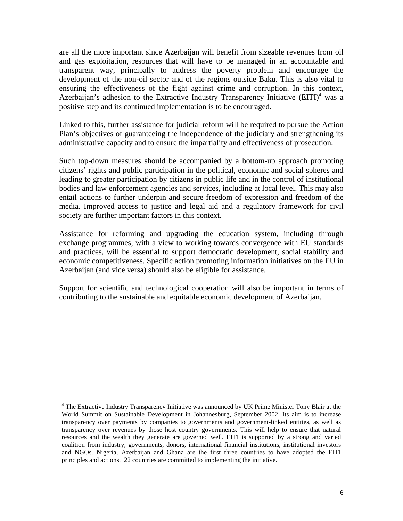are all the more important since Azerbaijan will benefit from sizeable revenues from oil and gas exploitation, resources that will have to be managed in an accountable and transparent way, principally to address the poverty problem and encourage the development of the non-oil sector and of the regions outside Baku. This is also vital to ensuring the effectiveness of the fight against crime and corruption. In this context, Azerbaijan's adhesion to the Extractive Industry Transparency Initiative  $(EITI)^4$  was a positive step and its continued implementation is to be encouraged.

Linked to this, further assistance for judicial reform will be required to pursue the Action Plan's objectives of guaranteeing the independence of the judiciary and strengthening its administrative capacity and to ensure the impartiality and effectiveness of prosecution.

Such top-down measures should be accompanied by a bottom-up approach promoting citizens' rights and public participation in the political, economic and social spheres and leading to greater participation by citizens in public life and in the control of institutional bodies and law enforcement agencies and services, including at local level. This may also entail actions to further underpin and secure freedom of expression and freedom of the media. Improved access to justice and legal aid and a regulatory framework for civil society are further important factors in this context.

Assistance for reforming and upgrading the education system, including through exchange programmes, with a view to working towards convergence with EU standards and practices, will be essential to support democratic development, social stability and economic competitiveness. Specific action promoting information initiatives on the EU in Azerbaijan (and vice versa) should also be eligible for assistance.

Support for scientific and technological cooperation will also be important in terms of contributing to the sustainable and equitable economic development of Azerbaijan.

1

<sup>&</sup>lt;sup>4</sup> The Extractive Industry Transparency Initiative was announced by UK Prime Minister Tony Blair at the World Summit on Sustainable Development in Johannesburg, September 2002. Its aim is to increase transparency over payments by companies to governments and government-linked entities, as well as transparency over revenues by those host country governments. This will help to ensure that natural resources and the wealth they generate are governed well. EITI is supported by a strong and varied coalition from industry, governments, donors, international financial institutions, institutional investors and NGOs. Nigeria, Azerbaijan and Ghana are the first three countries to have adopted the EITI principles and actions. 22 countries are committed to implementing the initiative.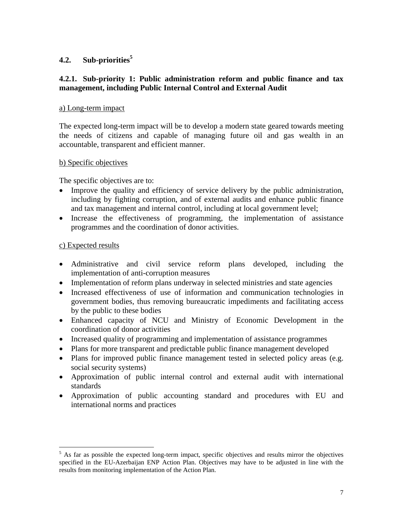# **4.2. Sub-priorities5**

# <span id="page-6-1"></span>**4.2.1. Sub-priority 1: Public administration reform and public finance and tax management, including Public Internal Control and External Audit**

#### a) Long-term impact

The expected long-term impact will be to develop a modern state geared towards meeting the needs of citizens and capable of managing future oil and gas wealth in an accountable, transparent and efficient manner.

#### b) Specific objectives

The specific objectives are to:

- Improve the quality and efficiency of service delivery by the public administration, including by fighting corruption, and of external audits and enhance public finance and tax management and internal control, including at local government level;
- Increase the effectiveness of programming, the implementation of assistance programmes and the coordination of donor activities.

#### c) Expected results

 $\overline{a}$ 

- Administrative and civil service reform plans developed, including the implementation of anti-corruption measures
- Implementation of reform plans underway in selected ministries and state agencies
- Increased effectiveness of use of information and communication technologies in government bodies, thus removing bureaucratic impediments and facilitating access by the public to these bodies
- <span id="page-6-0"></span>• Enhanced capacity of NCU and Ministry of Economic Development in the coordination of donor activities
- Increased quality of programming and implementation of assistance programmes
- Plans for more transparent and predictable public finance management developed
- Plans for improved public finance management tested in selected policy areas (e.g. social security systems)
- Approximation of public internal control and external audit with international standards
- Approximation of public accounting standard and procedures with EU and international norms and practices

<sup>&</sup>lt;sup>5</sup> As far as possible the expected long-term impact, specific objectives and results mirror the objectives specified in the EU-Azerbaijan ENP Action Plan. Objectives may have to be adjusted in line with the results from monitoring implementation of the Action Plan.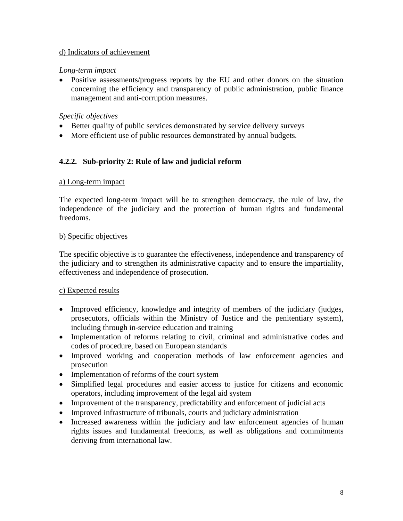### d) Indicators of achievement

#### *Long-term impact*

• Positive assessments/progress reports by the EU and other donors on the situation concerning the efficiency and transparency of public administration, public finance management and anti-corruption measures.

#### *Specific objectives*

- Better quality of public services demonstrated by service delivery surveys
- More efficient use of public resources demonstrated by annual budgets.

#### <span id="page-7-0"></span>**4.2.2. Sub-priority 2: Rule of law and judicial reform**

#### a) Long-term impact

The expected long-term impact will be to strengthen democracy, the rule of law, the independence of the judiciary and the protection of human rights and fundamental freedoms.

#### b) Specific objectives

The specific objective is to guarantee the effectiveness, independence and transparency of the judiciary and to strengthen its administrative capacity and to ensure the impartiality, effectiveness and independence of prosecution.

#### c) Expected results

- Improved efficiency, knowledge and integrity of members of the judiciary (judges, prosecutors, officials within the Ministry of Justice and the penitentiary system), including through in-service education and training
- Implementation of reforms relating to civil, criminal and administrative codes and codes of procedure, based on European standards
- Improved working and cooperation methods of law enforcement agencies and prosecution
- Implementation of reforms of the court system
- Simplified legal procedures and easier access to justice for citizens and economic operators, including improvement of the legal aid system
- Improvement of the transparency, predictability and enforcement of judicial acts
- Improved infrastructure of tribunals, courts and judiciary administration
- Increased awareness within the judiciary and law enforcement agencies of human rights issues and fundamental freedoms, as well as obligations and commitments deriving from international law.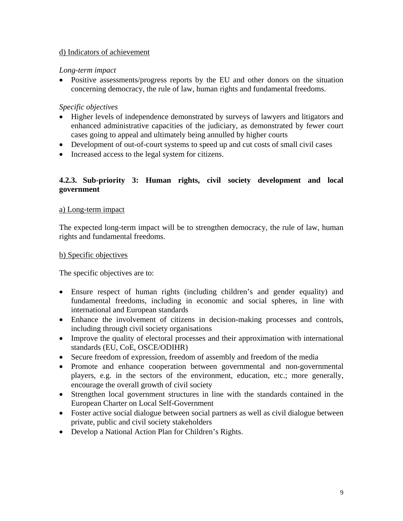### d) Indicators of achievement

#### *Long-term impact*

• Positive assessments/progress reports by the EU and other donors on the situation concerning democracy, the rule of law, human rights and fundamental freedoms.

### *Specific objectives*

- Higher levels of independence demonstrated by surveys of lawyers and litigators and enhanced administrative capacities of the judiciary, as demonstrated by fewer court cases going to appeal and ultimately being annulled by higher courts
- Development of out-of-court systems to speed up and cut costs of small civil cases
- Increased access to the legal system for citizens.

# <span id="page-8-0"></span>**4.2.3. Sub-priority 3: Human rights, civil society development and local government**

#### a) Long-term impact

The expected long-term impact will be to strengthen democracy, the rule of law, human rights and fundamental freedoms.

#### b) Specific objectives

The specific objectives are to:

- Ensure respect of human rights (including children's and gender equality) and fundamental freedoms, including in economic and social spheres, in line with international and European standards
- Enhance the involvement of citizens in decision-making processes and controls, including through civil society organisations
- Improve the quality of electoral processes and their approximation with international standards (EU, CoE, OSCE/ODIHR)
- Secure freedom of expression, freedom of assembly and freedom of the media
- Promote and enhance cooperation between governmental and non-governmental players, e.g. in the sectors of the environment, education, etc.; more generally, encourage the overall growth of civil society
- Strengthen local government structures in line with the standards contained in the European Charter on Local Self-Government
- Foster active social dialogue between social partners as well as civil dialogue between private, public and civil society stakeholders
- Develop a National Action Plan for Children's Rights.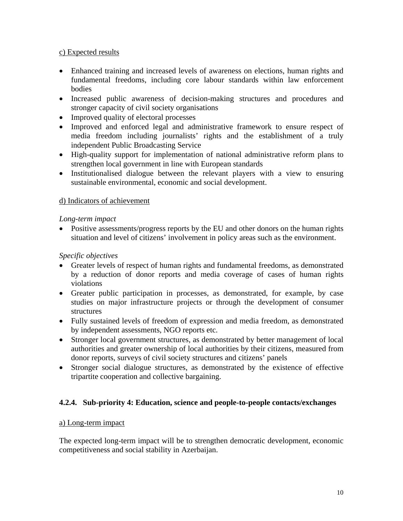# c) Expected results

- Enhanced training and increased levels of awareness on elections, human rights and fundamental freedoms, including core labour standards within law enforcement bodies
- Increased public awareness of decision-making structures and procedures and stronger capacity of civil society organisations
- Improved quality of electoral processes
- Improved and enforced legal and administrative framework to ensure respect of media freedom including journalists' rights and the establishment of a truly independent Public Broadcasting Service
- High-quality support for implementation of national administrative reform plans to strengthen local government in line with European standards
- Institutionalised dialogue between the relevant players with a view to ensuring sustainable environmental, economic and social development.

# d) Indicators of achievement

# *Long-term impact*

• Positive assessments/progress reports by the EU and other donors on the human rights situation and level of citizens' involvement in policy areas such as the environment.

# *Specific objectives*

- Greater levels of respect of human rights and fundamental freedoms, as demonstrated by a reduction of donor reports and media coverage of cases of human rights violations
- Greater public participation in processes, as demonstrated, for example, by case studies on major infrastructure projects or through the development of consumer structures
- Fully sustained levels of freedom of expression and media freedom, as demonstrated by independent assessments, NGO reports etc.
- Stronger local government structures, as demonstrated by better management of local authorities and greater ownership of local authorities by their citizens, measured from donor reports, surveys of civil society structures and citizens' panels
- Stronger social dialogue structures, as demonstrated by the existence of effective tripartite cooperation and collective bargaining.

# <span id="page-9-0"></span>**4.2.4. Sub-priority 4: Education, science and people-to-people contacts/exchanges**

# a) Long-term impact

The expected long-term impact will be to strengthen democratic development, economic competitiveness and social stability in Azerbaijan.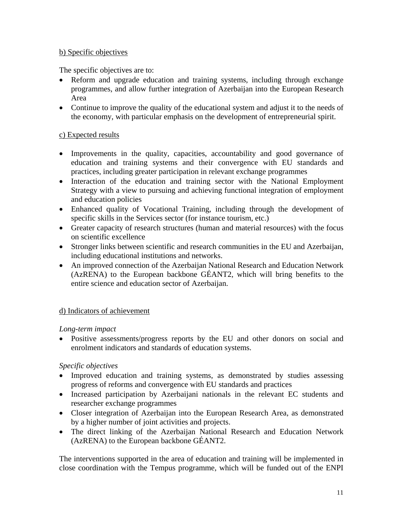# b) Specific objectives

The specific objectives are to:

- Reform and upgrade education and training systems, including through exchange programmes, and allow further integration of Azerbaijan into the European Research Area
- Continue to improve the quality of the educational system and adjust it to the needs of the economy, with particular emphasis on the development of entrepreneurial spirit.

# c) Expected results

- Improvements in the quality, capacities, accountability and good governance of education and training systems and their convergence with EU standards and practices, including greater participation in relevant exchange programmes
- Interaction of the education and training sector with the National Employment Strategy with a view to pursuing and achieving functional integration of employment and education policies
- Enhanced quality of Vocational Training, including through the development of specific skills in the Services sector (for instance tourism, etc.)
- Greater capacity of research structures (human and material resources) with the focus on scientific excellence
- Stronger links between scientific and research communities in the EU and Azerbaijan, including educational institutions and networks.
- An improved connection of the Azerbaijan National Research and Education Network (AzRENA) to the European backbone GÉANT2, which will bring benefits to the entire science and education sector of Azerbaijan.

# d) Indicators of achievement

# *Long-term impact*

• Positive assessments/progress reports by the EU and other donors on social and enrolment indicators and standards of education systems.

# *Specific objectives*

- Improved education and training systems, as demonstrated by studies assessing progress of reforms and convergence with EU standards and practices
- Increased participation by Azerbaijani nationals in the relevant EC students and researcher exchange programmes
- Closer integration of Azerbaijan into the European Research Area, as demonstrated by a higher number of joint activities and projects.
- The direct linking of the Azerbaijan National Research and Education Network (AzRENA) to the European backbone GÉANT2.

The interventions supported in the area of education and training will be implemented in close coordination with the Tempus programme, which will be funded out of the ENPI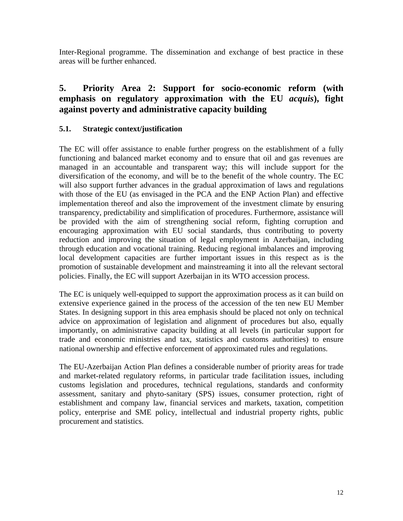Inter-Regional programme. The dissemination and exchange of best practice in these areas will be further enhanced.

# <span id="page-11-0"></span>**5. Priority Area 2: Support for socio-economic reform (with emphasis on regulatory approximation with the EU** *acquis***), fight against poverty and administrative capacity building**

# <span id="page-11-1"></span>**5.1. Strategic context/justification**

The EC will offer assistance to enable further progress on the establishment of a fully functioning and balanced market economy and to ensure that oil and gas revenues are managed in an accountable and transparent way; this will include support for the diversification of the economy, and will be to the benefit of the whole country. The EC will also support further advances in the gradual approximation of laws and regulations with those of the EU (as envisaged in the PCA and the ENP Action Plan) and effective implementation thereof and also the improvement of the investment climate by ensuring transparency, predictability and simplification of procedures. Furthermore, assistance will be provided with the aim of strengthening social reform, fighting corruption and encouraging approximation with EU social standards, thus contributing to poverty reduction and improving the situation of legal employment in Azerbaijan, including through education and vocational training. Reducing regional imbalances and improving local development capacities are further important issues in this respect as is the promotion of sustainable development and mainstreaming it into all the relevant sectoral policies. Finally, the EC will support Azerbaijan in its WTO accession process.

The EC is uniquely well-equipped to support the approximation process as it can build on extensive experience gained in the process of the accession of the ten new EU Member States. In designing support in this area emphasis should be placed not only on technical advice on approximation of legislation and alignment of procedures but also, equally importantly, on administrative capacity building at all levels (in particular support for trade and economic ministries and tax, statistics and customs authorities) to ensure national ownership and effective enforcement of approximated rules and regulations.

The EU-Azerbaijan Action Plan defines a considerable number of priority areas for trade and market-related regulatory reforms, in particular trade facilitation issues, including customs legislation and procedures, technical regulations, standards and conformity assessment, sanitary and phyto-sanitary (SPS) issues, consumer protection, right of establishment and company law, financial services and markets, taxation, competition policy, enterprise and SME policy, intellectual and industrial property rights, public procurement and statistics.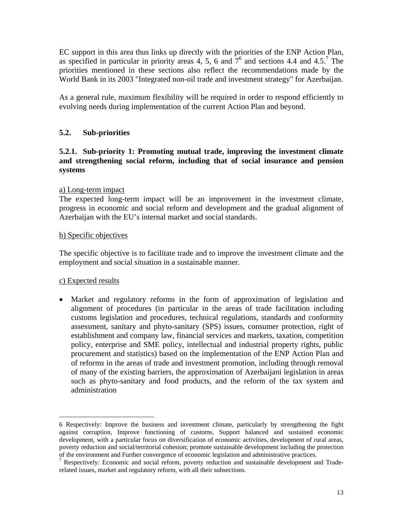EC support in this area thus links up directly with the priorities of the ENP Action Plan, as specified in particular in priority areas 4, 5, 6 and  $7^6$  and sections 4.4 and 4.5.<sup>7</sup> The priorities mentioned in these sections also reflect the recommendations made by the World Bank in its 2003 "Integrated non-oil trade and investment strategy" for Azerbaijan.

As a general rule, maximum flexibility will be required in order to respond efficiently to evolving needs during implementation of the current Action Plan and beyond.

# <span id="page-12-0"></span>**5.2. Sub-priorities**

### <span id="page-12-1"></span>**5.2.1. Sub-priority 1: Promoting mutual trade, improving the investment climate and strengthening social reform, including that of social insurance and pension systems**

#### a) Long-term impact

The expected long-term impact will be an improvement in the investment climate, progress in economic and social reform and development and the gradual alignment of Azerbaijan with the EU's internal market and social standards.

#### b) Specific objectives

The specific objective is to facilitate trade and to improve the investment climate and the employment and social situation in a sustainable manner.

# c) Expected results

<u>.</u>

• Market and regulatory reforms in the form of approximation of legislation and alignment of procedures (in particular in the areas of trade facilitation including customs legislation and procedures, technical regulations, standards and conformity assessment, sanitary and phyto-sanitary (SPS) issues, consumer protection, right of establishment and company law, financial services and markets, taxation, competition policy, enterprise and SME policy, intellectual and industrial property rights, public procurement and statistics) based on the implementation of the ENP Action Plan and of reforms in the areas of trade and investment promotion, including through removal of many of the existing barriers, the approximation of Azerbaijani legislation in areas such as phyto-sanitary and food products, and the reform of the tax system and administration

<sup>6</sup> Respectively: Improve the business and investment climate, particularly by strengthening the fight against corruption, Improve functioning of customs, Support balanced and sustained economic development, with a particular focus on diversification of economic activities, development of rural areas, poverty reduction and social/territorial cohesion; promote sustainable development including the protection of the environment and Further convergence of economic legislation and administrative practices.

<sup>&</sup>lt;sup>7</sup> Respectively: Economic and social reform, poverty reduction and sustainable development and Traderelated issues, market and regulatory reform, with all their subsections.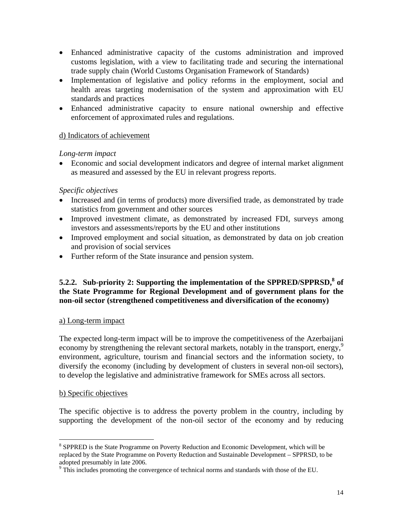- Enhanced administrative capacity of the customs administration and improved customs legislation, with a view to facilitating trade and securing the international trade supply chain (World Customs Organisation Framework of Standards)
- Implementation of legislative and policy reforms in the employment, social and health areas targeting modernisation of the system and approximation with EU standards and practices
- Enhanced administrative capacity to ensure national ownership and effective enforcement of approximated rules and regulations.

# d) Indicators of achievement

# *Long-term impact*

• Economic and social development indicators and degree of internal market alignment as measured and assessed by the EU in relevant progress reports.

# *Specific objectives*

- Increased and (in terms of products) more diversified trade, as demonstrated by trade statistics from government and other sources
- Improved investment climate, as demonstrated by increased FDI, surveys among investors and assessments/reports by the EU and other institutions
- Improved employment and social situation, as demonstrated by data on job creation and provision of social services
- Further reform of the State insurance and pension system.

# <span id="page-13-0"></span>**5.2.2. Sub-priority 2: Supporting the implementation of the SPPRED/SPPRSD,<sup>8</sup> of the State Programme for Regional Development and of government plans for the non-oil sector (strengthened competitiveness and diversification of the economy)**

# a) Long-term impact

The expected long-term impact will be to improve the competitiveness of the Azerbaijani economy by strengthening the relevant sectoral markets, notably in the transport, energy,<sup>9</sup> environment, agriculture, tourism and financial sectors and the information society, to diversify the economy (including by development of clusters in several non-oil sectors), to develop the legislative and administrative framework for SMEs across all sectors.

# b) Specific objectives

<u>.</u>

The specific objective is to address the poverty problem in the country, including by supporting the development of the non-oil sector of the economy and by reducing

<sup>&</sup>lt;sup>8</sup> SPPRED is the State Programme on Poverty Reduction and Economic Development, which will be replaced by the State Programme on Poverty Reduction and Sustainable Development – SPPRSD, to be adopted presumably in late 2006.

<sup>&</sup>lt;sup>9</sup> This includes promoting the convergence of technical norms and standards with those of the EU.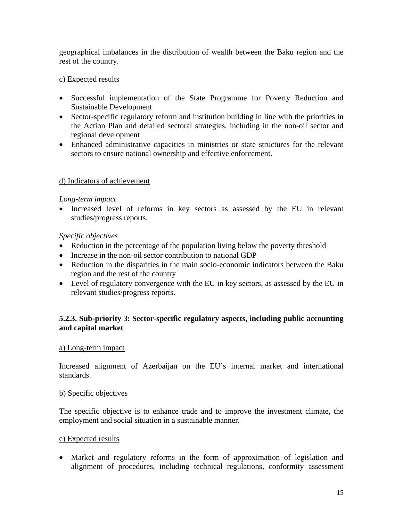geographical imbalances in the distribution of wealth between the Baku region and the rest of the country.

### c) Expected results

- Successful implementation of the State Programme for Poverty Reduction and Sustainable Development
- Sector-specific regulatory reform and institution building in line with the priorities in the Action Plan and detailed sectoral strategies, including in the non-oil sector and regional development
- Enhanced administrative capacities in ministries or state structures for the relevant sectors to ensure national ownership and effective enforcement.

#### d) Indicators of achievement

#### *Long-term impact*

• Increased level of reforms in key sectors as assessed by the EU in relevant studies/progress reports.

#### *Specific objectives*

- Reduction in the percentage of the population living below the poverty threshold
- Increase in the non-oil sector contribution to national GDP
- Reduction in the disparities in the main socio-economic indicators between the Baku region and the rest of the country
- Level of regulatory convergence with the EU in key sectors, as assessed by the EU in relevant studies/progress reports.

# <span id="page-14-0"></span>**5.2.3. Sub-priority 3: Sector-specific regulatory aspects, including public accounting and capital market**

#### a) Long-term impact

Increased alignment of Azerbaijan on the EU's internal market and international standards.

#### b) Specific objectives

The specific objective is to enhance trade and to improve the investment climate, the employment and social situation in a sustainable manner.

#### c) Expected results

• Market and regulatory reforms in the form of approximation of legislation and alignment of procedures, including technical regulations, conformity assessment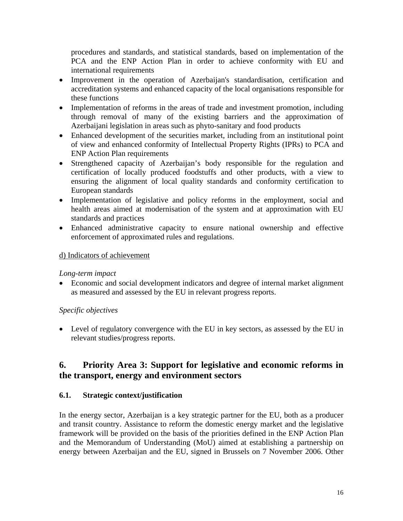procedures and standards, and statistical standards, based on implementation of the PCA and the ENP Action Plan in order to achieve conformity with EU and international requirements

- Improvement in the operation of Azerbaijan's standardisation, certification and accreditation systems and enhanced capacity of the local organisations responsible for these functions
- Implementation of reforms in the areas of trade and investment promotion, including through removal of many of the existing barriers and the approximation of Azerbaijani legislation in areas such as phyto-sanitary and food products
- Enhanced development of the securities market, including from an institutional point of view and enhanced conformity of Intellectual Property Rights (IPRs) to PCA and ENP Action Plan requirements
- Strengthened capacity of Azerbaijan's body responsible for the regulation and certification of locally produced foodstuffs and other products, with a view to ensuring the alignment of local quality standards and conformity certification to European standards
- Implementation of legislative and policy reforms in the employment, social and health areas aimed at modernisation of the system and at approximation with EU standards and practices
- Enhanced administrative capacity to ensure national ownership and effective enforcement of approximated rules and regulations.

# d) Indicators of achievement

# *Long-term impact*

• Economic and social development indicators and degree of internal market alignment as measured and assessed by the EU in relevant progress reports.

# *Specific objectives*

• Level of regulatory convergence with the EU in key sectors, as assessed by the EU in relevant studies/progress reports.

# <span id="page-15-0"></span>**6. Priority Area 3: Support for legislative and economic reforms in the transport, energy and environment sectors**

# <span id="page-15-1"></span>**6.1. Strategic context/justification**

In the energy sector, Azerbaijan is a key strategic partner for the EU, both as a producer and transit country. Assistance to reform the domestic energy market and the legislative framework will be provided on the basis of the priorities defined in the ENP Action Plan and the Memorandum of Understanding (MoU) aimed at establishing a partnership on energy between Azerbaijan and the EU, signed in Brussels on 7 November 2006. Other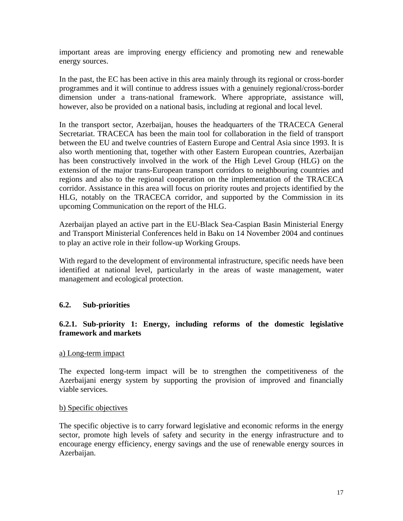important areas are improving energy efficiency and promoting new and renewable energy sources.

In the past, the EC has been active in this area mainly through its regional or cross-border programmes and it will continue to address issues with a genuinely regional/cross-border dimension under a trans-national framework. Where appropriate, assistance will, however, also be provided on a national basis, including at regional and local level.

In the transport sector, Azerbaijan, houses the headquarters of the TRACECA General Secretariat. TRACECA has been the main tool for collaboration in the field of transport between the EU and twelve countries of Eastern Europe and Central Asia since 1993. It is also worth mentioning that, together with other Eastern European countries, Azerbaijan has been constructively involved in the work of the High Level Group (HLG) on the extension of the major trans-European transport corridors to neighbouring countries and regions and also to the regional cooperation on the implementation of the TRACECA corridor. Assistance in this area will focus on priority routes and projects identified by the HLG, notably on the TRACECA corridor, and supported by the Commission in its upcoming Communication on the report of the HLG.

Azerbaijan played an active part in the EU-Black Sea-Caspian Basin Ministerial Energy and Transport Ministerial Conferences held in Baku on 14 November 2004 and continues to play an active role in their follow-up Working Groups.

With regard to the development of environmental infrastructure, specific needs have been identified at national level, particularly in the areas of waste management, water management and ecological protection.

# <span id="page-16-0"></span>**6.2. Sub-priorities**

#### <span id="page-16-1"></span>**6.2.1. Sub-priority 1: Energy, including reforms of the domestic legislative framework and markets**

#### a) Long-term impact

The expected long-term impact will be to strengthen the competitiveness of the Azerbaijani energy system by supporting the provision of improved and financially viable services.

#### b) Specific objectives

The specific objective is to carry forward legislative and economic reforms in the energy sector, promote high levels of safety and security in the energy infrastructure and to encourage energy efficiency, energy savings and the use of renewable energy sources in Azerbaijan.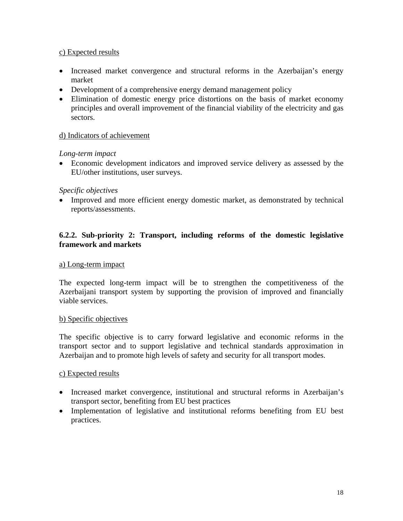# c) Expected results

- Increased market convergence and structural reforms in the Azerbaijan's energy market
- Development of a comprehensive energy demand management policy
- Elimination of domestic energy price distortions on the basis of market economy principles and overall improvement of the financial viability of the electricity and gas sectors.

#### d) Indicators of achievement

#### *Long-term impact*

• Economic development indicators and improved service delivery as assessed by the EU/other institutions, user surveys.

#### *Specific objectives*

• Improved and more efficient energy domestic market, as demonstrated by technical reports/assessments.

# <span id="page-17-0"></span>**6.2.2. Sub-priority 2: Transport, including reforms of the domestic legislative framework and markets**

#### a) Long-term impact

The expected long-term impact will be to strengthen the competitiveness of the Azerbaijani transport system by supporting the provision of improved and financially viable services.

#### b) Specific objectives

The specific objective is to carry forward legislative and economic reforms in the transport sector and to support legislative and technical standards approximation in Azerbaijan and to promote high levels of safety and security for all transport modes.

#### c) Expected results

- Increased market convergence, institutional and structural reforms in Azerbaijan's transport sector, benefiting from EU best practices
- Implementation of legislative and institutional reforms benefiting from EU best practices.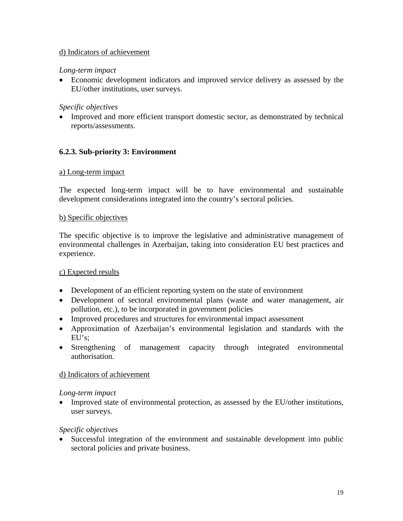# d) Indicators of achievement

#### *Long-term impact*

• Economic development indicators and improved service delivery as assessed by the EU/other institutions, user surveys.

### *Specific objectives*

• Improved and more efficient transport domestic sector, as demonstrated by technical reports/assessments.

# <span id="page-18-0"></span>**6.2.3. Sub-priority 3: Environment**

#### a) Long-term impact

The expected long-term impact will be to have environmental and sustainable development considerations integrated into the country's sectoral policies.

#### b) Specific objectives

The specific objective is to improve the legislative and administrative management of environmental challenges in Azerbaijan, taking into consideration EU best practices and experience.

#### c) Expected results

- Development of an efficient reporting system on the state of environment
- Development of sectoral environmental plans (waste and water management, air pollution, etc.), to be incorporated in government policies
- Improved procedures and structures for environmental impact assessment
- Approximation of Azerbaijan's environmental legislation and standards with the EU's;
- Strengthening of management capacity through integrated environmental authorisation.

#### d) Indicators of achievement

#### *Long-term impact*

• Improved state of environmental protection, as assessed by the EU/other institutions, user surveys.

#### *Specific objectives*

• Successful integration of the environment and sustainable development into public sectoral policies and private business.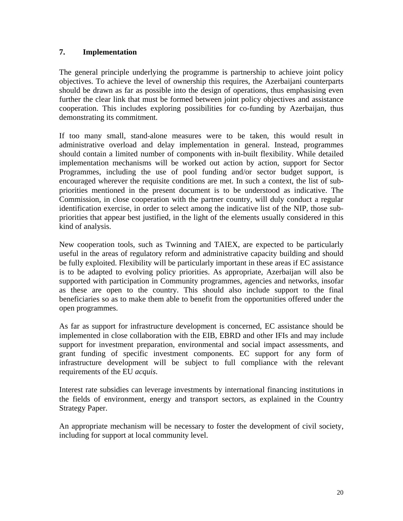# <span id="page-19-0"></span>**7. Implementation**

The general principle underlying the programme is partnership to achieve joint policy objectives. To achieve the level of ownership this requires, the Azerbaijani counterparts should be drawn as far as possible into the design of operations, thus emphasising even further the clear link that must be formed between joint policy objectives and assistance cooperation. This includes exploring possibilities for co-funding by Azerbaijan, thus demonstrating its commitment.

If too many small, stand-alone measures were to be taken, this would result in administrative overload and delay implementation in general. Instead, programmes should contain a limited number of components with in-built flexibility. While detailed implementation mechanisms will be worked out action by action, support for Sector Programmes, including the use of pool funding and/or sector budget support, is encouraged wherever the requisite conditions are met. In such a context, the list of subpriorities mentioned in the present document is to be understood as indicative. The Commission, in close cooperation with the partner country, will duly conduct a regular identification exercise, in order to select among the indicative list of the NIP, those subpriorities that appear best justified, in the light of the elements usually considered in this kind of analysis.

New cooperation tools, such as Twinning and TAIEX, are expected to be particularly useful in the areas of regulatory reform and administrative capacity building and should be fully exploited. Flexibility will be particularly important in these areas if EC assistance is to be adapted to evolving policy priorities. As appropriate, Azerbaijan will also be supported with participation in Community programmes, agencies and networks, insofar as these are open to the country. This should also include support to the final beneficiaries so as to make them able to benefit from the opportunities offered under the open programmes.

As far as support for infrastructure development is concerned, EC assistance should be implemented in close collaboration with the EIB, EBRD and other IFIs and may include support for investment preparation, environmental and social impact assessments, and grant funding of specific investment components. EC support for any form of infrastructure development will be subject to full compliance with the relevant requirements of the EU *acquis*.

Interest rate subsidies can leverage investments by international financing institutions in the fields of environment, energy and transport sectors, as explained in the Country Strategy Paper.

An appropriate mechanism will be necessary to foster the development of civil society, including for support at local community level.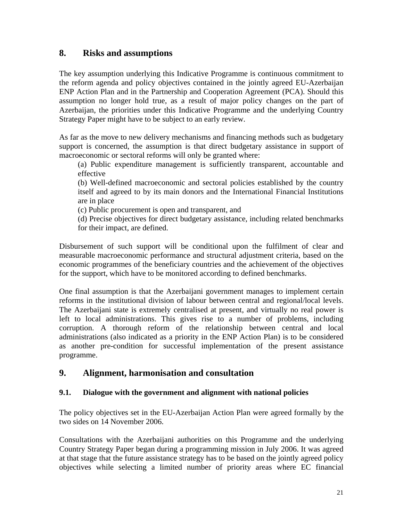# <span id="page-20-0"></span>**8. Risks and assumptions**

The key assumption underlying this Indicative Programme is continuous commitment to the reform agenda and policy objectives contained in the jointly agreed EU-Azerbaijan ENP Action Plan and in the Partnership and Cooperation Agreement (PCA). Should this assumption no longer hold true, as a result of major policy changes on the part of Azerbaijan, the priorities under this Indicative Programme and the underlying Country Strategy Paper might have to be subject to an early review.

As far as the move to new delivery mechanisms and financing methods such as budgetary support is concerned, the assumption is that direct budgetary assistance in support of macroeconomic or sectoral reforms will only be granted where:

(a) Public expenditure management is sufficiently transparent, accountable and effective

(b) Well-defined macroeconomic and sectoral policies established by the country itself and agreed to by its main donors and the International Financial Institutions are in place

(c) Public procurement is open and transparent, and

(d) Precise objectives for direct budgetary assistance, including related benchmarks for their impact, are defined.

Disbursement of such support will be conditional upon the fulfilment of clear and measurable macroeconomic performance and structural adjustment criteria, based on the economic programmes of the beneficiary countries and the achievement of the objectives for the support, which have to be monitored according to defined benchmarks.

One final assumption is that the Azerbaijani government manages to implement certain reforms in the institutional division of labour between central and regional/local levels. The Azerbaijani state is extremely centralised at present, and virtually no real power is left to local administrations. This gives rise to a number of problems, including corruption. A thorough reform of the relationship between central and local administrations (also indicated as a priority in the ENP Action Plan) is to be considered as another pre-condition for successful implementation of the present assistance programme.

# <span id="page-20-1"></span>**9. Alignment, harmonisation and consultation**

# <span id="page-20-2"></span>**9.1. Dialogue with the government and alignment with national policies**

The policy objectives set in the EU-Azerbaijan Action Plan were agreed formally by the two sides on 14 November 2006.

Consultations with the Azerbaijani authorities on this Programme and the underlying Country Strategy Paper began during a programming mission in July 2006. It was agreed at that stage that the future assistance strategy has to be based on the jointly agreed policy objectives while selecting a limited number of priority areas where EC financial